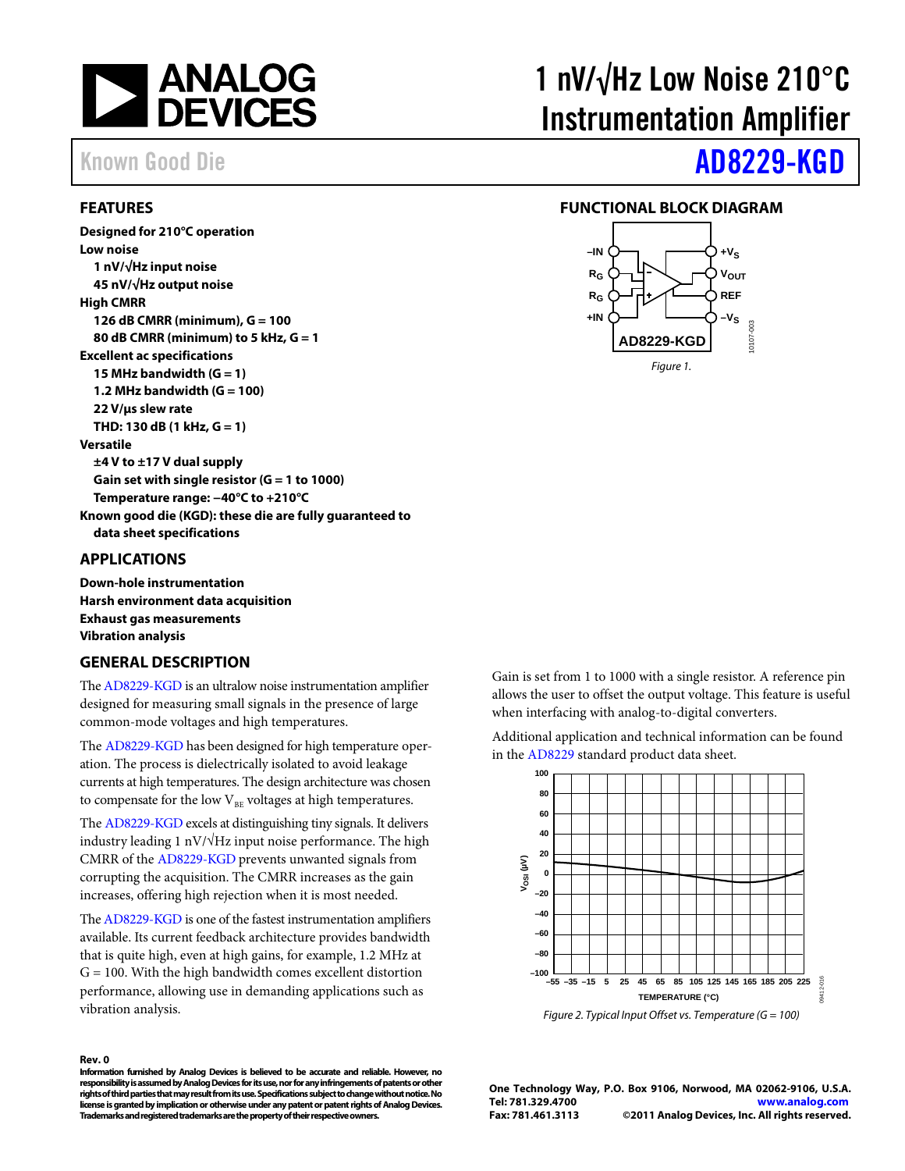

## <span id="page-0-0"></span>**FEATURES**

**Designed for 210°C operation Low noise 1 nV/√Hz input noise 45 nV/√Hz output noise High CMRR 126 dB CMRR (minimum), G = 100 80 dB CMRR (minimum) to 5 kHz, G = 1 Excellent ac specifications 15 MHz bandwidth (G = 1) 1.2 MHz bandwidth (G = 100) 22 V/µs slew rate THD: 130 dB (1 kHz, G = 1) Versatile ±4 V to ±17 V dual supply Gain set with single resistor (G = 1 to 1000) Temperature range: −40°C to +210°C Known good die (KGD): these die are fully guaranteed to data sheet specifications**

### <span id="page-0-1"></span>**APPLICATIONS**

**Down-hole instrumentation Harsh environment data acquisition Exhaust gas measurements Vibration analysis**

## <span id="page-0-2"></span>**GENERAL DESCRIPTION**

Th[e AD8229-KGD](http://www.analog.com/AD8229-KGD) is an ultralow noise instrumentation amplifier designed for measuring small signals in the presence of large common-mode voltages and high temperatures.

The [AD8229-KGD](http://www.analog.com/AD8229-KGD) has been designed for high temperature operation. The process is dielectrically isolated to avoid leakage currents at high temperatures. The design architecture was chosen to compensate for the low  $V_{BE}$  voltages at high temperatures.

The [AD8229-KGD](http://www.analog.com/AD8229-KGD) excels at distinguishing tiny signals. It delivers industry leading 1 nV/ $\sqrt{Hz}$  input noise performance. The high CMRR of th[e AD8229-KGD](http://www.analog.com/AD8229-KGD) prevents unwanted signals from corrupting the acquisition. The CMRR increases as the gain increases, offering high rejection when it is most needed.

Th[e AD8229-KGD](http://www.analog.com/AD8229-KGD) is one of the fastest instrumentation amplifiers available. Its current feedback architecture provides bandwidth that is quite high, even at high gains, for example, 1.2 MHz at  $G = 100$ . With the high bandwidth comes excellent distortion performance, allowing use in demanding applications such as vibration analysis.

### **Rev. 0**

**Information furnished by Analog Devices is believed to be accurate and reliable. However, no responsibility is assumed by Analog Devices for its use, nor for any infringements of patents or other rights of third parties that may result from its use. Specifications subject to change without notice. No license is granted by implication or otherwise under any patent or patent rights of Analog Devices. Trademarks and registered trademarks are the property of their respective owners.**

# 1 nV/√Hz Low Noise 210°C Instrumentation Amplifier

# Known Good Die **AD8229-KGD**

### <span id="page-0-3"></span>**FUNCTIONAL BLOCK DIAGRAM**



Gain is set from 1 to 1000 with a single resistor. A reference pin allows the user to offset the output voltage. This feature is useful when interfacing with analog-to-digital converters.

Additional application and technical information can be found in the [AD8229](http://www.analog.com/AD8229) standard product data sheet.



**One Technology Way, P.O. Box 9106, Norwood, MA 02062-9106, U.S.A. Tel: 781.329.4700 [www.analog.com](http://www.analog.com/) Fax: 781.461.3113 ©2011 Analog Devices, Inc. All rights reserved.**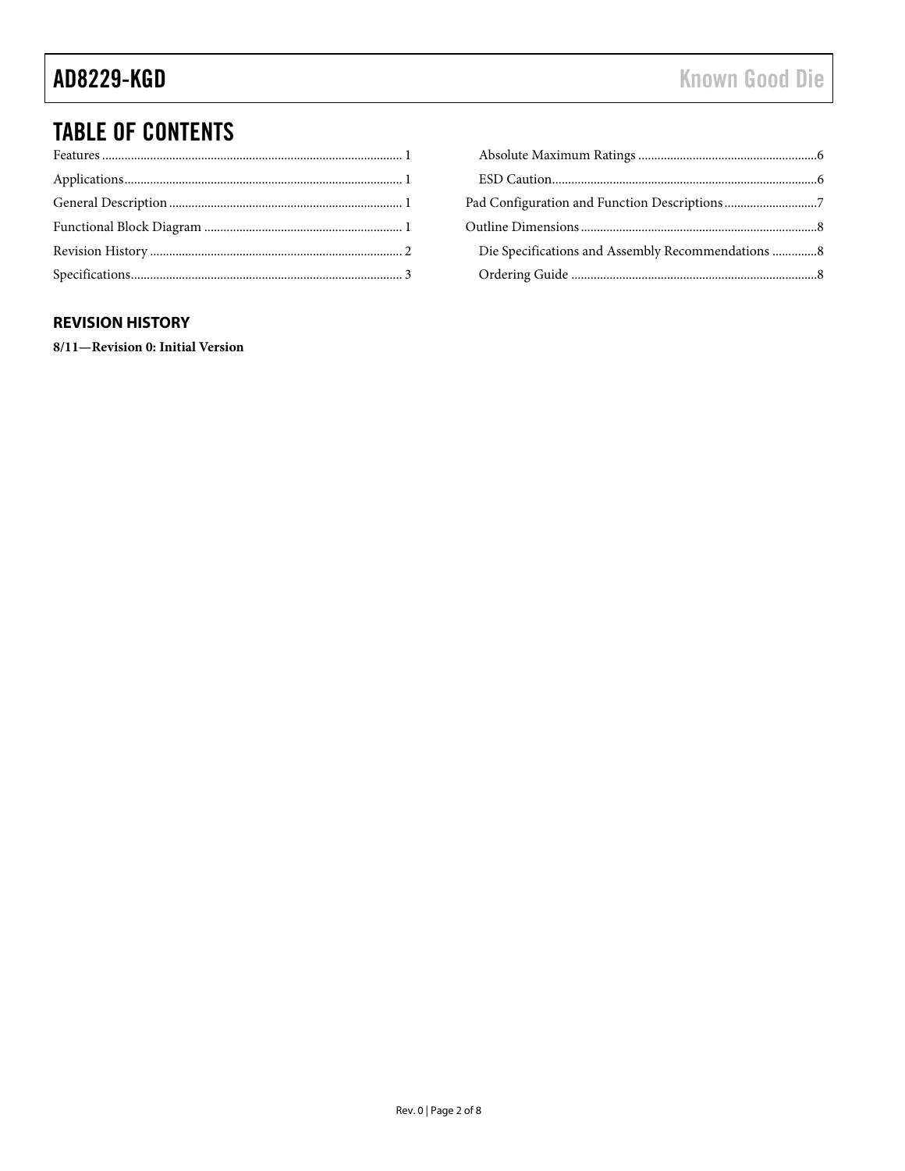# **TABLE OF CONTENTS**

| Die Specifications and Assembly Recommendations 8 |  |
|---------------------------------------------------|--|
|                                                   |  |

## <span id="page-1-0"></span>**REVISION HISTORY**

8/11-Revision 0: Initial Version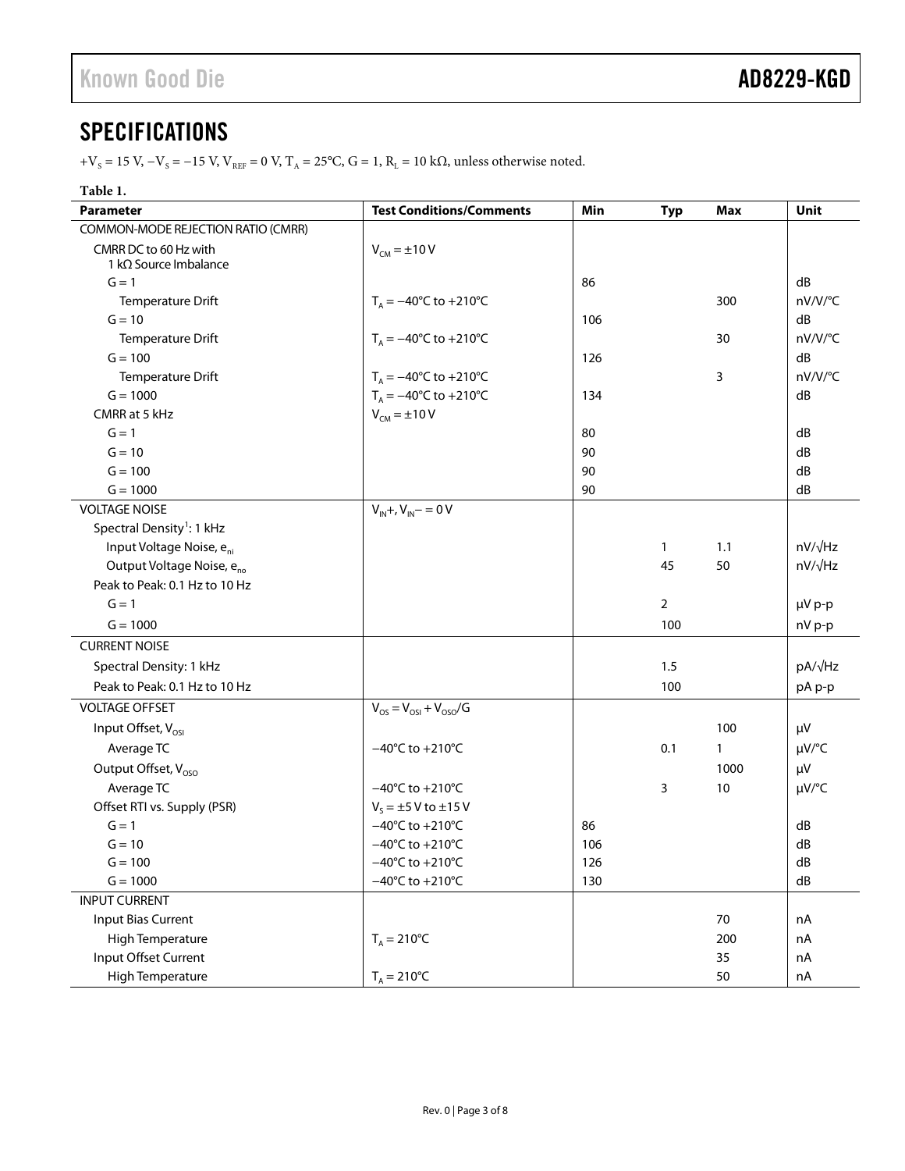# <span id="page-2-0"></span>**SPECIFICATIONS**

+V<sub>S</sub> = 15 V,  $-V$ <sub>S</sub> = −15 V, V<sub>REF</sub> = 0 V, T<sub>A</sub> = 25°C, G = 1, R<sub>L</sub> = 10 kΩ, unless otherwise noted.

## **Table 1.**

| <b>Parameter</b>                                       | <b>Test Conditions/Comments</b>            | Min | <b>Typ</b>     | <b>Max</b>   | Unit           |
|--------------------------------------------------------|--------------------------------------------|-----|----------------|--------------|----------------|
| COMMON-MODE REJECTION RATIO (CMRR)                     |                                            |     |                |              |                |
| CMRR DC to 60 Hz with<br>1 k $\Omega$ Source Imbalance | $V_{CM} = \pm 10 V$                        |     |                |              |                |
| $G = 1$                                                |                                            | 86  |                |              | dB             |
| Temperature Drift                                      | $T_A = -40^{\circ}C$ to $+210^{\circ}C$    |     |                | 300          | nV/V/°C        |
| $G = 10$                                               |                                            | 106 |                |              | dB             |
| Temperature Drift                                      | $T_A = -40^{\circ}$ C to +210 $^{\circ}$ C |     |                | 30           | nV/V/°C        |
| $G = 100$                                              |                                            | 126 |                |              | dB             |
| Temperature Drift                                      | $T_A = -40^{\circ}$ C to +210 $^{\circ}$ C |     |                | 3            | nV/V/°C        |
| $G = 1000$                                             | $T_A = -40^{\circ}C$ to $+210^{\circ}C$    | 134 |                |              | dB             |
| CMRR at 5 kHz                                          | $V_{CM} = \pm 10 V$                        |     |                |              |                |
| $G = 1$                                                |                                            | 80  |                |              | dB             |
| $G = 10$                                               |                                            | 90  |                |              | dB             |
| $G = 100$                                              |                                            | 90  |                |              | dB             |
| $G = 1000$                                             |                                            | 90  |                |              | dB             |
| <b>VOLTAGE NOISE</b>                                   | $V_{IN} + V_{IN} - 0V$                     |     |                |              |                |
| Spectral Density <sup>1</sup> : 1 kHz                  |                                            |     |                |              |                |
| Input Voltage Noise, e <sub>ni</sub>                   |                                            |     | $\mathbf{1}$   | 1.1          | $nV/\sqrt{Hz}$ |
| Output Voltage Noise, e <sub>no</sub>                  |                                            |     | 45             | 50           | $nV/\sqrt{Hz}$ |
| Peak to Peak: 0.1 Hz to 10 Hz                          |                                            |     |                |              |                |
| $G = 1$                                                |                                            |     | $\overline{2}$ |              | µV p-p         |
| $G = 1000$                                             |                                            |     | 100            |              | nV p-p         |
| <b>CURRENT NOISE</b>                                   |                                            |     |                |              |                |
| Spectral Density: 1 kHz                                |                                            |     | 1.5            |              | pA/√Hz         |
| Peak to Peak: 0.1 Hz to 10 Hz                          |                                            |     | 100            |              | pA p-p         |
| <b>VOLTAGE OFFSET</b>                                  | $V_{OS} = V_{OS1} + V_{OSO}/G$             |     |                |              |                |
| Input Offset, V <sub>OSI</sub>                         |                                            |     |                | 100          | μV             |
| Average TC                                             | $-40^{\circ}$ C to +210 $^{\circ}$ C       |     | 0.1            | $\mathbf{1}$ | µV/°C          |
| Output Offset, V <sub>oso</sub>                        |                                            |     |                | 1000         | μV             |
| Average TC                                             | $-40^{\circ}$ C to +210 $^{\circ}$ C       |     | 3              | 10           | µV/°C          |
| Offset RTI vs. Supply (PSR)                            | $V_s = \pm 5$ V to $\pm 15$ V              |     |                |              |                |
| $G = 1$                                                | $-40^{\circ}$ C to +210 $^{\circ}$ C       | 86  |                |              | dB             |
| $G = 10$                                               | $-40^{\circ}$ C to +210 $^{\circ}$ C       | 106 |                |              | dB             |
| $G = 100$                                              | $-40^{\circ}$ C to +210 $^{\circ}$ C       | 126 |                |              | dB             |
| $G = 1000$                                             | $-40^{\circ}$ C to +210 $^{\circ}$ C       | 130 |                |              | dB             |
| <b>INPUT CURRENT</b>                                   |                                            |     |                |              |                |
| <b>Input Bias Current</b>                              |                                            |     |                | 70           | nA             |
| High Temperature                                       | $T_A = 210^{\circ}C$                       |     |                | 200          | nA             |
| Input Offset Current                                   |                                            |     |                | 35           | nA             |
| High Temperature                                       | $T_A = 210^{\circ}C$                       |     |                | 50           | nA             |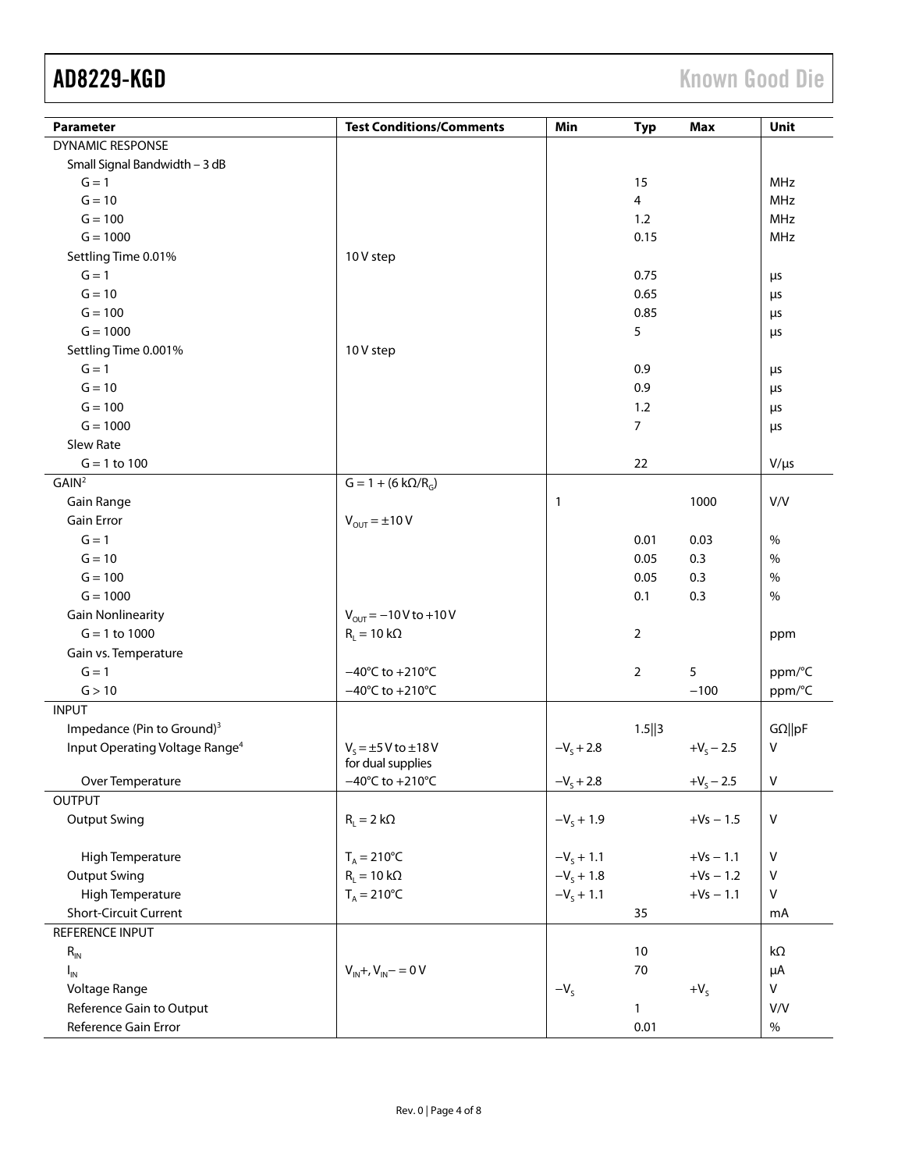| <b>DYNAMIC RESPONSE</b><br>Small Signal Bandwidth - 3 dB<br>$G = 1$<br><b>MHz</b><br>15<br>$G = 10$<br>$\overline{4}$<br><b>MHz</b><br>$G = 100$<br>1.2<br><b>MHz</b><br>$G = 1000$<br>MHz<br>0.15<br>Settling Time 0.01%<br>10 V step<br>$G = 1$<br>0.75<br>$\mu$ s<br>$G = 10$<br>0.65<br>$\mu$ s<br>$G = 100$<br>0.85<br>$\mu$ s<br>$G = 1000$<br>5<br>$\mu$ s<br>Settling Time 0.001%<br>10 V step<br>$G = 1$<br>0.9<br>$\mu$ s<br>$G = 10$<br>0.9<br>$\mu$ s<br>$G = 100$<br>1.2<br>$\mu$ s<br>$G = 1000$<br>$\overline{7}$<br>$\mu$ s<br>Slew Rate<br>22<br>$V/\mu s$<br>$G = 1$ to 100<br>GAIN <sup>2</sup><br>$G = 1 + (6 k\Omega/R_G)$<br>Gain Range<br>1000<br>V/V<br>$\mathbf{1}$<br><b>Gain Error</b><br>$V_{OUT} = \pm 10 V$<br>$G = 1$<br>0.01<br>0.03<br>$\%$<br>$G = 10$<br>0.3<br>$\%$<br>0.05<br>$G = 100$<br>$\%$<br>0.05<br>0.3<br>$G = 1000$<br>$\frac{0}{0}$<br>0.1<br>0.3<br><b>Gain Nonlinearity</b><br>$V_{OUT} = -10V$ to +10V<br>$G = 1$ to 1000<br>$R_L = 10 k\Omega$<br>2<br>ppm<br>Gain vs. Temperature<br>5<br>$G = 1$<br>$-40^{\circ}$ C to +210 $^{\circ}$ C<br>$\overline{2}$<br>ppm/°C<br>G > 10<br>$-40^{\circ}$ C to +210 $^{\circ}$ C<br>$-100$<br>ppm/°C<br><b>INPUT</b><br>Impedance (Pin to Ground) <sup>3</sup><br>$G\Omega$   pF<br>$1.5$   3<br>V<br>Input Operating Voltage Range <sup>4</sup><br>$V_s = \pm 5$ V to $\pm 18$ V<br>$-Vs + 2.8$<br>$+V_s - 2.5$<br>for dual supplies<br>${\sf V}$<br>$-40^{\circ}$ C to +210 $^{\circ}$ C<br>Over Temperature<br>$-V_s + 2.8$<br>$+V_s - 2.5$<br><b>OUTPUT</b><br><b>Output Swing</b><br>$R_{L} = 2 k\Omega$<br>$-V_s + 1.9$<br>${\sf V}$<br>$+Vs - 1.5$ | <b>Parameter</b> | <b>Test Conditions/Comments</b> | Min | <b>Typ</b> | Max | Unit |
|------------------------------------------------------------------------------------------------------------------------------------------------------------------------------------------------------------------------------------------------------------------------------------------------------------------------------------------------------------------------------------------------------------------------------------------------------------------------------------------------------------------------------------------------------------------------------------------------------------------------------------------------------------------------------------------------------------------------------------------------------------------------------------------------------------------------------------------------------------------------------------------------------------------------------------------------------------------------------------------------------------------------------------------------------------------------------------------------------------------------------------------------------------------------------------------------------------------------------------------------------------------------------------------------------------------------------------------------------------------------------------------------------------------------------------------------------------------------------------------------------------------------------------------------------------------------------------------------------------------------------------------------------|------------------|---------------------------------|-----|------------|-----|------|
|                                                                                                                                                                                                                                                                                                                                                                                                                                                                                                                                                                                                                                                                                                                                                                                                                                                                                                                                                                                                                                                                                                                                                                                                                                                                                                                                                                                                                                                                                                                                                                                                                                                      |                  |                                 |     |            |     |      |
|                                                                                                                                                                                                                                                                                                                                                                                                                                                                                                                                                                                                                                                                                                                                                                                                                                                                                                                                                                                                                                                                                                                                                                                                                                                                                                                                                                                                                                                                                                                                                                                                                                                      |                  |                                 |     |            |     |      |
|                                                                                                                                                                                                                                                                                                                                                                                                                                                                                                                                                                                                                                                                                                                                                                                                                                                                                                                                                                                                                                                                                                                                                                                                                                                                                                                                                                                                                                                                                                                                                                                                                                                      |                  |                                 |     |            |     |      |
|                                                                                                                                                                                                                                                                                                                                                                                                                                                                                                                                                                                                                                                                                                                                                                                                                                                                                                                                                                                                                                                                                                                                                                                                                                                                                                                                                                                                                                                                                                                                                                                                                                                      |                  |                                 |     |            |     |      |
|                                                                                                                                                                                                                                                                                                                                                                                                                                                                                                                                                                                                                                                                                                                                                                                                                                                                                                                                                                                                                                                                                                                                                                                                                                                                                                                                                                                                                                                                                                                                                                                                                                                      |                  |                                 |     |            |     |      |
|                                                                                                                                                                                                                                                                                                                                                                                                                                                                                                                                                                                                                                                                                                                                                                                                                                                                                                                                                                                                                                                                                                                                                                                                                                                                                                                                                                                                                                                                                                                                                                                                                                                      |                  |                                 |     |            |     |      |
|                                                                                                                                                                                                                                                                                                                                                                                                                                                                                                                                                                                                                                                                                                                                                                                                                                                                                                                                                                                                                                                                                                                                                                                                                                                                                                                                                                                                                                                                                                                                                                                                                                                      |                  |                                 |     |            |     |      |
|                                                                                                                                                                                                                                                                                                                                                                                                                                                                                                                                                                                                                                                                                                                                                                                                                                                                                                                                                                                                                                                                                                                                                                                                                                                                                                                                                                                                                                                                                                                                                                                                                                                      |                  |                                 |     |            |     |      |
|                                                                                                                                                                                                                                                                                                                                                                                                                                                                                                                                                                                                                                                                                                                                                                                                                                                                                                                                                                                                                                                                                                                                                                                                                                                                                                                                                                                                                                                                                                                                                                                                                                                      |                  |                                 |     |            |     |      |
|                                                                                                                                                                                                                                                                                                                                                                                                                                                                                                                                                                                                                                                                                                                                                                                                                                                                                                                                                                                                                                                                                                                                                                                                                                                                                                                                                                                                                                                                                                                                                                                                                                                      |                  |                                 |     |            |     |      |
|                                                                                                                                                                                                                                                                                                                                                                                                                                                                                                                                                                                                                                                                                                                                                                                                                                                                                                                                                                                                                                                                                                                                                                                                                                                                                                                                                                                                                                                                                                                                                                                                                                                      |                  |                                 |     |            |     |      |
|                                                                                                                                                                                                                                                                                                                                                                                                                                                                                                                                                                                                                                                                                                                                                                                                                                                                                                                                                                                                                                                                                                                                                                                                                                                                                                                                                                                                                                                                                                                                                                                                                                                      |                  |                                 |     |            |     |      |
|                                                                                                                                                                                                                                                                                                                                                                                                                                                                                                                                                                                                                                                                                                                                                                                                                                                                                                                                                                                                                                                                                                                                                                                                                                                                                                                                                                                                                                                                                                                                                                                                                                                      |                  |                                 |     |            |     |      |
|                                                                                                                                                                                                                                                                                                                                                                                                                                                                                                                                                                                                                                                                                                                                                                                                                                                                                                                                                                                                                                                                                                                                                                                                                                                                                                                                                                                                                                                                                                                                                                                                                                                      |                  |                                 |     |            |     |      |
|                                                                                                                                                                                                                                                                                                                                                                                                                                                                                                                                                                                                                                                                                                                                                                                                                                                                                                                                                                                                                                                                                                                                                                                                                                                                                                                                                                                                                                                                                                                                                                                                                                                      |                  |                                 |     |            |     |      |
|                                                                                                                                                                                                                                                                                                                                                                                                                                                                                                                                                                                                                                                                                                                                                                                                                                                                                                                                                                                                                                                                                                                                                                                                                                                                                                                                                                                                                                                                                                                                                                                                                                                      |                  |                                 |     |            |     |      |
|                                                                                                                                                                                                                                                                                                                                                                                                                                                                                                                                                                                                                                                                                                                                                                                                                                                                                                                                                                                                                                                                                                                                                                                                                                                                                                                                                                                                                                                                                                                                                                                                                                                      |                  |                                 |     |            |     |      |
|                                                                                                                                                                                                                                                                                                                                                                                                                                                                                                                                                                                                                                                                                                                                                                                                                                                                                                                                                                                                                                                                                                                                                                                                                                                                                                                                                                                                                                                                                                                                                                                                                                                      |                  |                                 |     |            |     |      |
|                                                                                                                                                                                                                                                                                                                                                                                                                                                                                                                                                                                                                                                                                                                                                                                                                                                                                                                                                                                                                                                                                                                                                                                                                                                                                                                                                                                                                                                                                                                                                                                                                                                      |                  |                                 |     |            |     |      |
|                                                                                                                                                                                                                                                                                                                                                                                                                                                                                                                                                                                                                                                                                                                                                                                                                                                                                                                                                                                                                                                                                                                                                                                                                                                                                                                                                                                                                                                                                                                                                                                                                                                      |                  |                                 |     |            |     |      |
|                                                                                                                                                                                                                                                                                                                                                                                                                                                                                                                                                                                                                                                                                                                                                                                                                                                                                                                                                                                                                                                                                                                                                                                                                                                                                                                                                                                                                                                                                                                                                                                                                                                      |                  |                                 |     |            |     |      |
|                                                                                                                                                                                                                                                                                                                                                                                                                                                                                                                                                                                                                                                                                                                                                                                                                                                                                                                                                                                                                                                                                                                                                                                                                                                                                                                                                                                                                                                                                                                                                                                                                                                      |                  |                                 |     |            |     |      |
|                                                                                                                                                                                                                                                                                                                                                                                                                                                                                                                                                                                                                                                                                                                                                                                                                                                                                                                                                                                                                                                                                                                                                                                                                                                                                                                                                                                                                                                                                                                                                                                                                                                      |                  |                                 |     |            |     |      |
|                                                                                                                                                                                                                                                                                                                                                                                                                                                                                                                                                                                                                                                                                                                                                                                                                                                                                                                                                                                                                                                                                                                                                                                                                                                                                                                                                                                                                                                                                                                                                                                                                                                      |                  |                                 |     |            |     |      |
|                                                                                                                                                                                                                                                                                                                                                                                                                                                                                                                                                                                                                                                                                                                                                                                                                                                                                                                                                                                                                                                                                                                                                                                                                                                                                                                                                                                                                                                                                                                                                                                                                                                      |                  |                                 |     |            |     |      |
|                                                                                                                                                                                                                                                                                                                                                                                                                                                                                                                                                                                                                                                                                                                                                                                                                                                                                                                                                                                                                                                                                                                                                                                                                                                                                                                                                                                                                                                                                                                                                                                                                                                      |                  |                                 |     |            |     |      |
|                                                                                                                                                                                                                                                                                                                                                                                                                                                                                                                                                                                                                                                                                                                                                                                                                                                                                                                                                                                                                                                                                                                                                                                                                                                                                                                                                                                                                                                                                                                                                                                                                                                      |                  |                                 |     |            |     |      |
|                                                                                                                                                                                                                                                                                                                                                                                                                                                                                                                                                                                                                                                                                                                                                                                                                                                                                                                                                                                                                                                                                                                                                                                                                                                                                                                                                                                                                                                                                                                                                                                                                                                      |                  |                                 |     |            |     |      |
|                                                                                                                                                                                                                                                                                                                                                                                                                                                                                                                                                                                                                                                                                                                                                                                                                                                                                                                                                                                                                                                                                                                                                                                                                                                                                                                                                                                                                                                                                                                                                                                                                                                      |                  |                                 |     |            |     |      |
|                                                                                                                                                                                                                                                                                                                                                                                                                                                                                                                                                                                                                                                                                                                                                                                                                                                                                                                                                                                                                                                                                                                                                                                                                                                                                                                                                                                                                                                                                                                                                                                                                                                      |                  |                                 |     |            |     |      |
|                                                                                                                                                                                                                                                                                                                                                                                                                                                                                                                                                                                                                                                                                                                                                                                                                                                                                                                                                                                                                                                                                                                                                                                                                                                                                                                                                                                                                                                                                                                                                                                                                                                      |                  |                                 |     |            |     |      |
|                                                                                                                                                                                                                                                                                                                                                                                                                                                                                                                                                                                                                                                                                                                                                                                                                                                                                                                                                                                                                                                                                                                                                                                                                                                                                                                                                                                                                                                                                                                                                                                                                                                      |                  |                                 |     |            |     |      |
|                                                                                                                                                                                                                                                                                                                                                                                                                                                                                                                                                                                                                                                                                                                                                                                                                                                                                                                                                                                                                                                                                                                                                                                                                                                                                                                                                                                                                                                                                                                                                                                                                                                      |                  |                                 |     |            |     |      |
|                                                                                                                                                                                                                                                                                                                                                                                                                                                                                                                                                                                                                                                                                                                                                                                                                                                                                                                                                                                                                                                                                                                                                                                                                                                                                                                                                                                                                                                                                                                                                                                                                                                      |                  |                                 |     |            |     |      |
|                                                                                                                                                                                                                                                                                                                                                                                                                                                                                                                                                                                                                                                                                                                                                                                                                                                                                                                                                                                                                                                                                                                                                                                                                                                                                                                                                                                                                                                                                                                                                                                                                                                      |                  |                                 |     |            |     |      |
|                                                                                                                                                                                                                                                                                                                                                                                                                                                                                                                                                                                                                                                                                                                                                                                                                                                                                                                                                                                                                                                                                                                                                                                                                                                                                                                                                                                                                                                                                                                                                                                                                                                      |                  |                                 |     |            |     |      |
|                                                                                                                                                                                                                                                                                                                                                                                                                                                                                                                                                                                                                                                                                                                                                                                                                                                                                                                                                                                                                                                                                                                                                                                                                                                                                                                                                                                                                                                                                                                                                                                                                                                      |                  |                                 |     |            |     |      |
|                                                                                                                                                                                                                                                                                                                                                                                                                                                                                                                                                                                                                                                                                                                                                                                                                                                                                                                                                                                                                                                                                                                                                                                                                                                                                                                                                                                                                                                                                                                                                                                                                                                      |                  |                                 |     |            |     |      |
| $\mathsf{V}$<br>High Temperature<br>$T_A = 210^{\circ}C$<br>$-V_5 + 1.1$<br>$+Vs - 1.1$                                                                                                                                                                                                                                                                                                                                                                                                                                                                                                                                                                                                                                                                                                                                                                                                                                                                                                                                                                                                                                                                                                                                                                                                                                                                                                                                                                                                                                                                                                                                                              |                  |                                 |     |            |     |      |
| $R_{I} = 10 k\Omega$<br>$-V_5 + 1.8$<br><b>Output Swing</b><br>$+Vs - 1.2$<br>$\mathsf{V}$                                                                                                                                                                                                                                                                                                                                                                                                                                                                                                                                                                                                                                                                                                                                                                                                                                                                                                                                                                                                                                                                                                                                                                                                                                                                                                                                                                                                                                                                                                                                                           |                  |                                 |     |            |     |      |
| $T_A = 210^{\circ}C$<br>High Temperature<br>$-V_s + 1.1$<br>$\mathsf{V}$<br>$+Vs - 1.1$                                                                                                                                                                                                                                                                                                                                                                                                                                                                                                                                                                                                                                                                                                                                                                                                                                                                                                                                                                                                                                                                                                                                                                                                                                                                                                                                                                                                                                                                                                                                                              |                  |                                 |     |            |     |      |
| <b>Short-Circuit Current</b><br>35<br>mA                                                                                                                                                                                                                                                                                                                                                                                                                                                                                                                                                                                                                                                                                                                                                                                                                                                                                                                                                                                                                                                                                                                                                                                                                                                                                                                                                                                                                                                                                                                                                                                                             |                  |                                 |     |            |     |      |
| REFERENCE INPUT                                                                                                                                                                                                                                                                                                                                                                                                                                                                                                                                                                                                                                                                                                                                                                                                                                                                                                                                                                                                                                                                                                                                                                                                                                                                                                                                                                                                                                                                                                                                                                                                                                      |                  |                                 |     |            |     |      |
| 10<br>$k\Omega$<br>$R_{IN}$                                                                                                                                                                                                                                                                                                                                                                                                                                                                                                                                                                                                                                                                                                                                                                                                                                                                                                                                                                                                                                                                                                                                                                                                                                                                                                                                                                                                                                                                                                                                                                                                                          |                  |                                 |     |            |     |      |
| $V_{IN} + V_{IN} - 0V$<br>70<br>μA<br>$I_{IN}$                                                                                                                                                                                                                                                                                                                                                                                                                                                                                                                                                                                                                                                                                                                                                                                                                                                                                                                                                                                                                                                                                                                                                                                                                                                                                                                                                                                                                                                                                                                                                                                                       |                  |                                 |     |            |     |      |
| ${\sf V}$<br>Voltage Range<br>$-VS$<br>$+V_s$                                                                                                                                                                                                                                                                                                                                                                                                                                                                                                                                                                                                                                                                                                                                                                                                                                                                                                                                                                                                                                                                                                                                                                                                                                                                                                                                                                                                                                                                                                                                                                                                        |                  |                                 |     |            |     |      |
| Reference Gain to Output<br>V/V<br>$\mathbf{1}$                                                                                                                                                                                                                                                                                                                                                                                                                                                                                                                                                                                                                                                                                                                                                                                                                                                                                                                                                                                                                                                                                                                                                                                                                                                                                                                                                                                                                                                                                                                                                                                                      |                  |                                 |     |            |     |      |
| Reference Gain Error<br>0.01<br>$\%$                                                                                                                                                                                                                                                                                                                                                                                                                                                                                                                                                                                                                                                                                                                                                                                                                                                                                                                                                                                                                                                                                                                                                                                                                                                                                                                                                                                                                                                                                                                                                                                                                 |                  |                                 |     |            |     |      |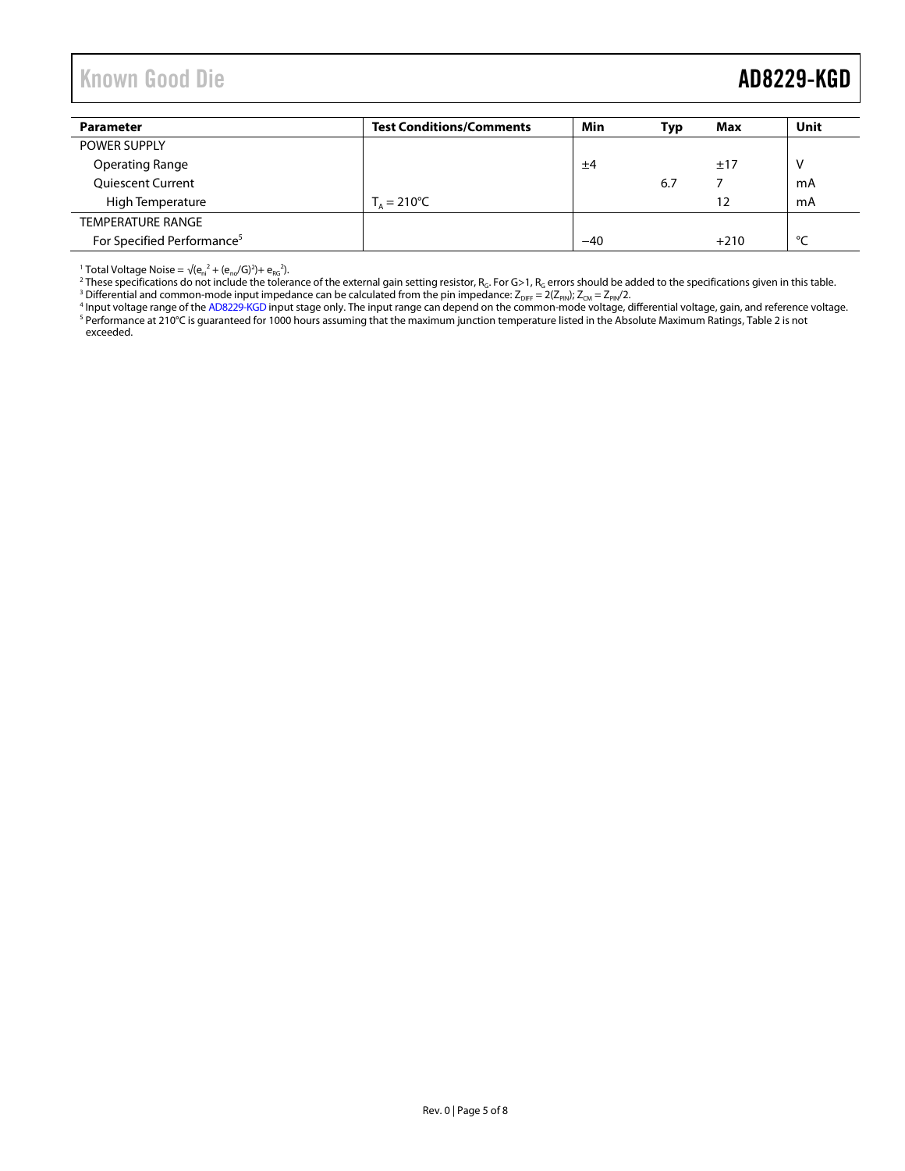# <span id="page-4-0"></span>Known Good Die **AD8229-KGD**

| <b>Parameter</b>                       | <b>Test Conditions/Comments</b> | Min   | Тур | Max    | Unit   |
|----------------------------------------|---------------------------------|-------|-----|--------|--------|
| <b>POWER SUPPLY</b>                    |                                 |       |     |        |        |
| <b>Operating Range</b>                 |                                 | ±4    |     | ±17    | v      |
| <b>Quiescent Current</b>               |                                 |       | 6.7 |        | mA     |
| High Temperature                       | $T_0 = 210^{\circ}C$            |       |     | 12     | mA     |
| <b>TEMPERATURE RANGE</b>               |                                 |       |     |        |        |
| For Specified Performance <sup>5</sup> |                                 | $-40$ |     | $+210$ | $\sim$ |

<sup>1</sup> Total Voltage No[i](http://www.analog.com/AD8229-KGD)se = √(e<sub>m</sub><sup>2</sup> + (e<sub>no</sub>/G)<sup>2</sup>)+ e<sub>nc</sub><sup>2</sup>).<br><sup>2</sup> These specifications do not include the tolerance of the external gain setting resistor, R<sub>c</sub>. For G>1, R<sub>G</sub> errors should be added to the specifications exceeded.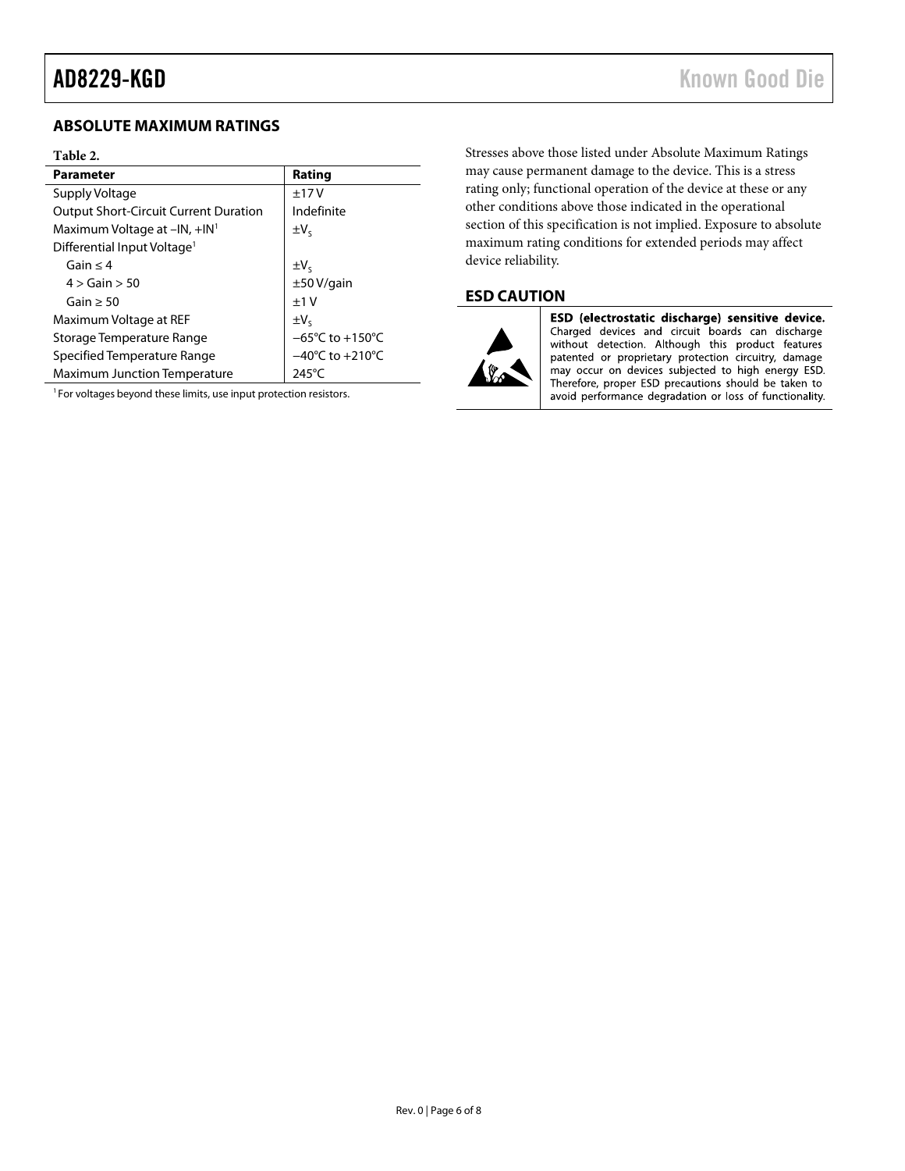## <span id="page-5-0"></span>**ABSOLUTE MAXIMUM RATINGS**

### <span id="page-5-2"></span>**Table 2.**

| <b>Parameter</b>                             | Rating                               |
|----------------------------------------------|--------------------------------------|
| Supply Voltage                               | ±17V                                 |
| <b>Output Short-Circuit Current Duration</b> | Indefinite                           |
| Maximum Voltage at $-IN$ , $+IN^1$           | $\pm V_c$                            |
| Differential Input Voltage <sup>1</sup>      |                                      |
| Gain $<$ 4                                   | $\pm V_{S}$                          |
| $4 >$ Gain $> 50$                            | $\pm 50$ V/gain                      |
| Gain $>$ 50                                  | $+1V$                                |
| Maximum Voltage at REF                       | $\pm V_c$                            |
| Storage Temperature Range                    | $-65^{\circ}$ C to +150 $^{\circ}$ C |
| Specified Temperature Range                  | $-40^{\circ}$ C to $+210^{\circ}$ C  |
| <b>Maximum Junction Temperature</b>          | $245^{\circ}$ C                      |

<sup>1</sup> For voltages beyond these limits, use input protection resistors.

Stresses above those listed under Absolute Maximum Ratings may cause permanent damage to the device. This is a stress rating only; functional operation of the device at these or any other conditions above those indicated in the operational section of this specification is not implied. Exposure to absolute maximum rating conditions for extended periods may affect device reliability.

## <span id="page-5-1"></span>**ESD CAUTION**



ESD (electrostatic discharge) sensitive device. Charged devices and circuit boards can discharge without detection. Although this product features patented or proprietary protection circuitry, damage may occur on devices subjected to high energy ESD. Therefore, proper ESD precautions should be taken to avoid performance degradation or loss of functionality.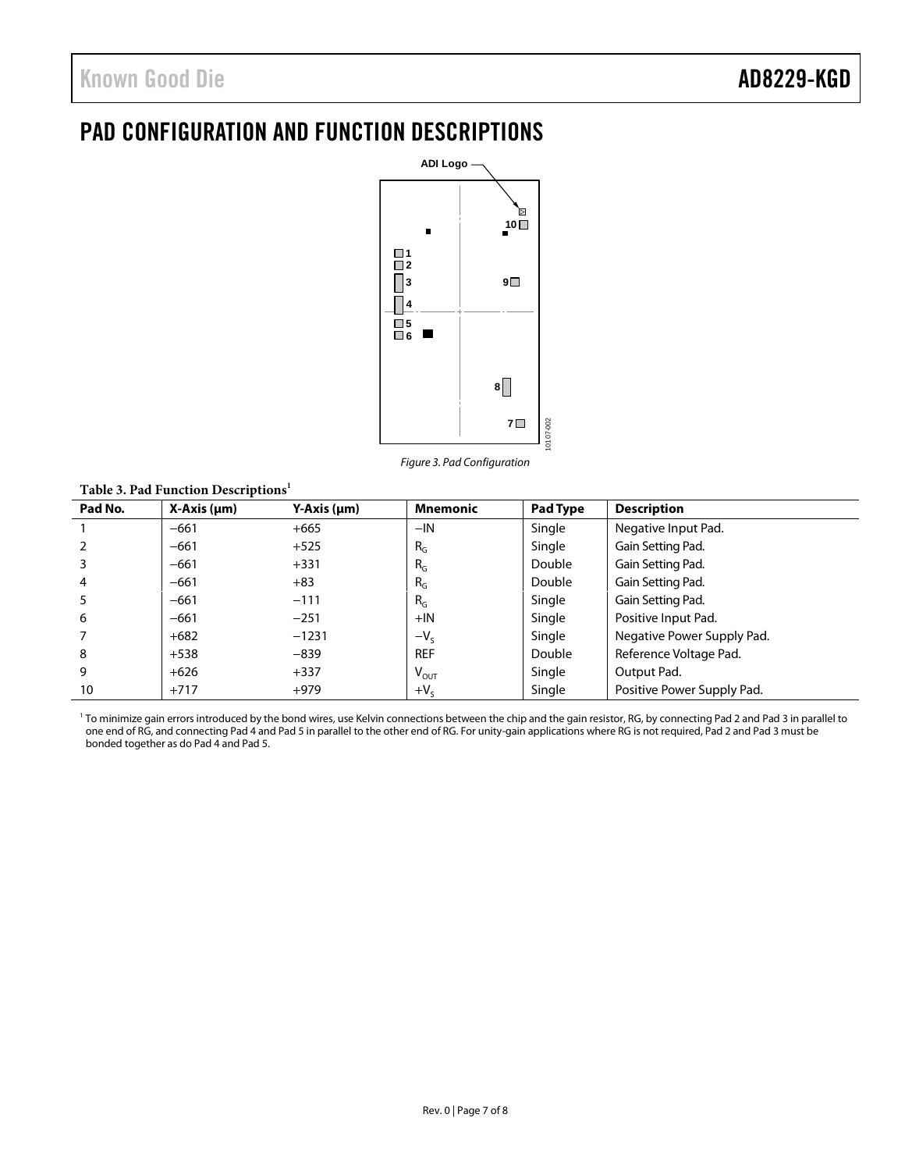# <span id="page-6-0"></span>PAD CONFIGURATION AND FUNCTION DESCRIPTIONS



*Figure 3. Pad Configuration*

### **Table 3. Pad Function Descriptions<sup>1</sup>**

| Pad No. | $X-Axis (µm)$ | Y-Axis (µm) | <b>Mnemonic</b>             | Pad Type | <b>Description</b>         |
|---------|---------------|-------------|-----------------------------|----------|----------------------------|
|         | $-661$        | $+665$      | $-IN$                       | Single   | Negative Input Pad.        |
|         | $-661$        | $+525$      | $R_G$                       | Single   | Gain Setting Pad.          |
|         | $-661$        | $+331$      | $R_G$                       | Double   | Gain Setting Pad.          |
| 4       | $-661$        | $+83$       | $R_G$                       | Double   | Gain Setting Pad.          |
| 5       | $-661$        | $-111$      | $R_G$                       | Single   | Gain Setting Pad.          |
| 6       | $-661$        | $-251$      | $+$ IN                      | Single   | Positive Input Pad.        |
|         | $+682$        | $-1231$     | $-V_{S}$                    | Single   | Negative Power Supply Pad. |
| 8       | $+538$        | $-839$      | <b>REF</b>                  | Double   | Reference Voltage Pad.     |
| 9       | $+626$        | $+337$      | $\mathsf{V}_{\mathsf{OUT}}$ | Single   | Output Pad.                |
| 10      | $+717$        | $+979$      | $+V_s$                      | Single   | Positive Power Supply Pad. |

<sup>1</sup> To minimize gain errors introduced by the bond wires, use Kelvin connections between the chip and the gain resistor, RG, by connecting Pad 2 and Pad 3 in parallel to one end of RG, and connecting Pad 4 and Pad 5 in parallel to the other end of RG. For unity-gain applications where RG is not required, Pad 2 and Pad 3 must be bonded together as do Pad 4 and Pad 5.